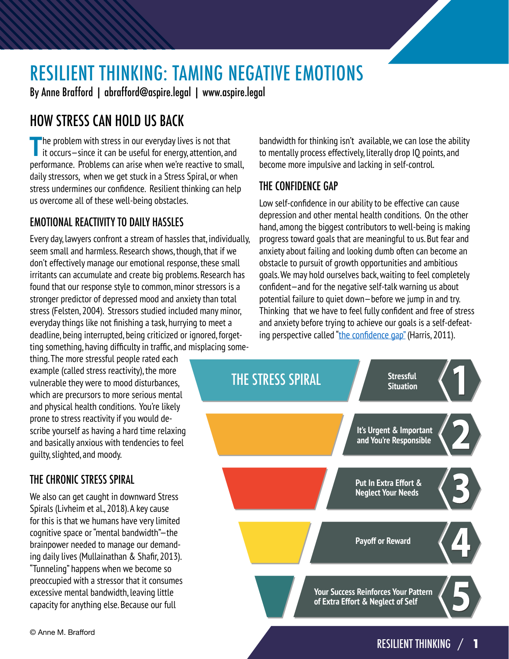# RESILIENT THINKING: TAMING NEGATIVE EMOTIONS

By Anne Brafford | abrafford@aspire.legal | www.aspire.legal

# HOW STRESS CAN HOLD US BACK

**The problem with stress in our everyday lives is not that it occurs—since it can be useful for energy, attention, and** performance. Problems can arise when we're reactive to small, daily stressors, when we get stuck in a Stress Spiral, or when stress undermines our confidence. Resilient thinking can help us overcome all of these well-being obstacles.

### EMOTIONAL REACTIVITY TO DAILY HASSLES

Every day, lawyers confront a stream of hassles that, individually, seem small and harmless. Research shows, though, that if we don't effectively manage our emotional response, these small irritants can accumulate and create big problems. Research has found that our response style to common, minor stressors is a stronger predictor of depressed mood and anxiety than total stress (Felsten, 2004). Stressors studied included many minor, everyday things like not finishing a task, hurrying to meet a deadline, being interrupted, being criticized or ignored, forgetting something, having difficulty in traffic, and misplacing some-

thing. The more stressful people rated each example (called stress reactivity), the more vulnerable they were to mood disturbances, which are precursors to more serious mental and physical health conditions. You're likely prone to stress reactivity if you would describe yourself as having a hard time relaxing and basically anxious with tendencies to feel guilty, slighted, and moody.

### THE CHRONIC STRESS SPIRAL

We also can get caught in downward Stress Spirals (Livheim et al., 2018). A key cause for this is that we humans have very limited cognitive space or "mental bandwidth"—the brainpower needed to manage our demanding daily lives (Mullainathan & Shafir, 2013). "Tunneling" happens when we become so preoccupied with a stressor that it consumes excessive mental bandwidth, leaving little capacity for anything else. Because our full

bandwidth for thinking isn't available, we can lose the ability to mentally process effectively, literally drop IQ points, and become more impulsive and lacking in self-control.

#### THE CONFIDENCE GAP

Low self-confidence in our ability to be effective can cause depression and other mental health conditions. On the other hand, among the biggest contributors to well-being is making progress toward goals that are meaningful to us. But fear and anxiety about failing and looking dumb often can become an obstacle to pursuit of growth opportunities and ambitious goals. We may hold ourselves back, waiting to feel completely confident—and for the negative self-talk warning us about potential failure to quiet down—before we jump in and try. Thinking that we have to feel fully confident and free of stress and anxiety before trying to achieve our goals is a self-defeating perspective called "[the confidence gap"](https://www.amazon.com/Confidence-Gap-Guide-Overcoming-Self-Doubt/dp/B00O80XTZQ/ref=sr_1_2?keywords=The+confidence+gap&qid=1585780538&sr=8-2) (Harris, 2011).

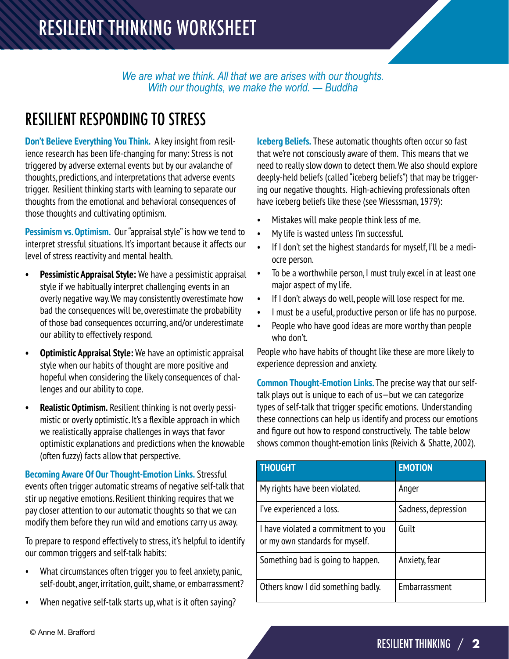*We are what we think. All that we are arises with our thoughts. With our thoughts, we make the world. — Buddha*

# RESILIENT RESPONDING TO STRESS

**Don't Believe Everything You Think.** A key insight from resilience research has been life-changing for many: Stress is not triggered by adverse external events but by our avalanche of thoughts, predictions, and interpretations that adverse events trigger. Resilient thinking starts with learning to separate our thoughts from the emotional and behavioral consequences of those thoughts and cultivating optimism.

**Pessimism vs. Optimism.** Our "appraisal style" is how we tend to interpret stressful situations. It's important because it affects our level of stress reactivity and mental health.

- **• Pessimistic Appraisal Style:** We have a pessimistic appraisal style if we habitually interpret challenging events in an overly negative way. We may consistently overestimate how bad the consequences will be, overestimate the probability of those bad consequences occurring, and/or underestimate our ability to effectively respond.
- **• Optimistic Appraisal Style:** We have an optimistic appraisal style when our habits of thought are more positive and hopeful when considering the likely consequences of challenges and our ability to cope.
- **• Realistic Optimism.** Resilient thinking is not overly pessimistic or overly optimistic. It's a flexible approach in which we realistically appraise challenges in ways that favor optimistic explanations and predictions when the knowable (often fuzzy) facts allow that perspective.

**Becoming Aware Of Our Thought-Emotion Links.** Stressful events often trigger automatic streams of negative self-talk that stir up negative emotions. Resilient thinking requires that we pay closer attention to our automatic thoughts so that we can modify them before they run wild and emotions carry us away.

To prepare to respond effectively to stress, it's helpful to identify our common triggers and self-talk habits:

- What circumstances often trigger you to feel anxiety, panic, self-doubt, anger, irritation, guilt, shame, or embarrassment?
- When negative self-talk starts up, what is it often saying?

**Iceberg Beliefs.** These automatic thoughts often occur so fast that we're not consciously aware of them. This means that we need to really slow down to detect them. We also should explore deeply-held beliefs (called "iceberg beliefs") that may be triggering our negative thoughts. High-achieving professionals often have iceberg beliefs like these (see Wiesssman, 1979):

- Mistakes will make people think less of me.
- My life is wasted unless I'm successful.
- If I don't set the highest standards for myself, I'll be a mediocre person.
- To be a worthwhile person, I must truly excel in at least one major aspect of my life.
- If I don't always do well, people will lose respect for me.
- I must be a useful, productive person or life has no purpose.
- People who have good ideas are more worthy than people who don't.

People who have habits of thought like these are more likely to experience depression and anxiety.

**Common Thought-Emotion Links.** The precise way that our selftalk plays out is unique to each of us—but we can categorize types of self-talk that trigger specific emotions. Understanding these connections can help us identify and process our emotions and figure out how to respond constructively. The table below shows common thought-emotion links (Reivich & Shatte, 2002).

| <b>THOUGHT</b>                                                         | <b>EMOTION</b>      |
|------------------------------------------------------------------------|---------------------|
| My rights have been violated.                                          | Anger               |
| I've experienced a loss.                                               | Sadness, depression |
| I have violated a commitment to you<br>or my own standards for myself. | Guilt               |
| Something bad is going to happen.                                      | Anxiety, fear       |
| Others know I did something badly.                                     | Embarrassment       |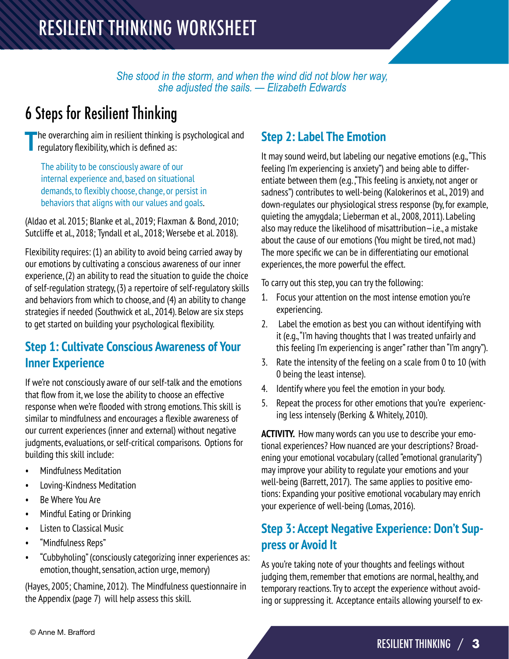*She stood in the storm, and when the wind did not blow her way, she adjusted the sails. — Elizabeth Edwards*

# 6 Steps for Resilient Thinking

**T**he overarching aim in resilient thinking is psychological and regulatory flexibility, which is defined as:

The ability to be consciously aware of our internal experience and, based on situational demands, to flexibly choose, change, or persist in behaviors that aligns with our values and goals.

(Aldao et al. 2015; Blanke et al., 2019; Flaxman & Bond, 2010; Sutcliffe et al., 2018; Tyndall et al., 2018; Wersebe et al. 2018).

Flexibility requires: (1) an ability to avoid being carried away by our emotions by cultivating a conscious awareness of our inner experience, (2) an ability to read the situation to guide the choice of self-regulation strategy, (3) a repertoire of self-regulatory skills and behaviors from which to choose, and (4) an ability to change strategies if needed (Southwick et al., 2014). Below are six steps to get started on building your psychological flexibility.

## **Step 1: Cultivate Conscious Awareness of Your Inner Experience**

If we're not consciously aware of our self-talk and the emotions that flow from it, we lose the ability to choose an effective response when we're flooded with strong emotions. This skill is similar to mindfulness and encourages a flexible awareness of our current experiences (inner and external) without negative judgments, evaluations, or self-critical comparisons. Options for building this skill include:

- Mindfulness Meditation
- Loving-Kindness Meditation
- Be Where You Are
- Mindful Eating or Drinking
- Listen to Classical Music
- "Mindfulness Reps"
- "Cubbyholing" (consciously categorizing inner experiences as: emotion, thought, sensation, action urge, memory)

(Hayes, 2005; Chamine, 2012). The Mindfulness questionnaire in the Appendix (page 7) will help assess this skill.

### **Step 2: Label The Emotion**

It may sound weird, but labeling our negative emotions (e.g., "This feeling I'm experiencing is anxiety") and being able to differentiate between them (e.g., "This feeling is anxiety, not anger or sadness") contributes to well-being (Kalokerinos et al., 2019) and down-regulates our physiological stress response (by, for example, quieting the amygdala; Lieberman et al., 2008, 2011). Labeling also may reduce the likelihood of misattribution—i.e., a mistake about the cause of our emotions (You might be tired, not mad.) The more specific we can be in differentiating our emotional experiences, the more powerful the effect.

To carry out this step, you can try the following:

- 1. Focus your attention on the most intense emotion you're experiencing.
- 2. Label the emotion as best you can without identifying with it (e.g., "I'm having thoughts that I was treated unfairly and this feeling I'm experiencing is anger" rather than "I'm angry").
- 3. Rate the intensity of the feeling on a scale from 0 to 10 (with 0 being the least intense).
- 4. Identify where you feel the emotion in your body.
- 5. Repeat the process for other emotions that you're experiencing less intensely (Berking & Whitely, 2010).

**ACTIVITY.** How many words can you use to describe your emotional experiences? How nuanced are your descriptions? Broadening your emotional vocabulary (called "emotional granularity") may improve your ability to regulate your emotions and your well-being (Barrett, 2017). The same applies to positive emotions: Expanding your positive emotional vocabulary may enrich your experience of well-being (Lomas, 2016).

### **Step 3: Accept Negative Experience: Don't Suppress or Avoid It**

As you're taking note of your thoughts and feelings without judging them, remember that emotions are normal, healthy, and temporary reactions. Try to accept the experience without avoiding or suppressing it. Acceptance entails allowing yourself to ex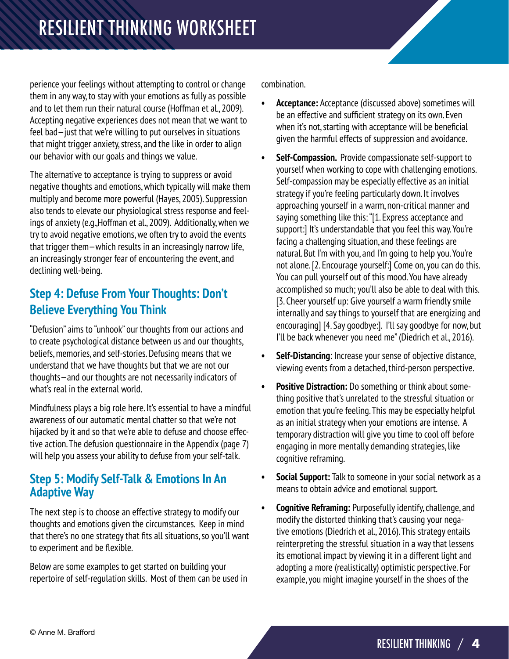perience your feelings without attempting to control or change them in any way, to stay with your emotions as fully as possible and to let them run their natural course (Hoffman et al., 2009). Accepting negative experiences does not mean that we want to feel bad—just that we're willing to put ourselves in situations that might trigger anxiety, stress, and the like in order to align our behavior with our goals and things we value.

The alternative to acceptance is trying to suppress or avoid negative thoughts and emotions, which typically will make them multiply and become more powerful (Hayes, 2005). Suppression also tends to elevate our physiological stress response and feelings of anxiety (e.g.,Hoffman et al., 2009). Additionally, when we try to avoid negative emotions, we often try to avoid the events that trigger them—which results in an increasingly narrow life, an increasingly stronger fear of encountering the event, and declining well-being.

## **Step 4: Defuse From Your Thoughts: Don't Believe Everything You Think**

"Defusion" aims to "unhook" our thoughts from our actions and to create psychological distance between us and our thoughts, beliefs, memories, and self-stories. Defusing means that we understand that we have thoughts but that we are not our thoughts—and our thoughts are not necessarily indicators of what's real in the external world.

Mindfulness plays a big role here. It's essential to have a mindful awareness of our automatic mental chatter so that we're not hijacked by it and so that we're able to defuse and choose effective action. The defusion questionnaire in the Appendix (page 7) will help you assess your ability to defuse from your self-talk.

#### **Step 5: Modify Self-Talk & Emotions In An Adaptive Way**

The next step is to choose an effective strategy to modify our thoughts and emotions given the circumstances. Keep in mind that there's no one strategy that fits all situations, so you'll want to experiment and be flexible.

Below are some examples to get started on building your repertoire of self-regulation skills. Most of them can be used in combination.

- **• Acceptance:** Acceptance (discussed above) sometimes will be an effective and sufficient strategy on its own. Even when it's not, starting with acceptance will be beneficial given the harmful effects of suppression and avoidance.
- **• Self-Compassion.** Provide compassionate self-support to yourself when working to cope with challenging emotions. Self-compassion may be especially effective as an initial strategy if you're feeling particularly down. It involves approaching yourself in a warm, non-critical manner and saying something like this: "[1. Express acceptance and support:] It's understandable that you feel this way. You're facing a challenging situation, and these feelings are natural. But I'm with you, and I'm going to help you. You're not alone. [2. Encourage yourself:] Come on, you can do this. You can pull yourself out of this mood. You have already accomplished so much; you'll also be able to deal with this. [3. Cheer yourself up: Give yourself a warm friendly smile internally and say things to yourself that are energizing and encouraging] [4. Say goodbye:]. I'll say goodbye for now, but I'll be back whenever you need me" (Diedrich et al., 2016).
- **• Self-Distancing**: Increase your sense of objective distance, viewing events from a detached, third-person perspective.
- **• Positive Distraction:** Do something or think about something positive that's unrelated to the stressful situation or emotion that you're feeling. This may be especially helpful as an initial strategy when your emotions are intense. A temporary distraction will give you time to cool off before engaging in more mentally demanding strategies, like cognitive reframing.
- **• Social Support:** Talk to someone in your social network as a means to obtain advice and emotional support.
- **• Cognitive Reframing:** Purposefully identify, challenge, and modify the distorted thinking that's causing your negative emotions (Diedrich et al., 2016). This strategy entails reinterpreting the stressful situation in a way that lessens its emotional impact by viewing it in a different light and adopting a more (realistically) optimistic perspective. For example, you might imagine yourself in the shoes of the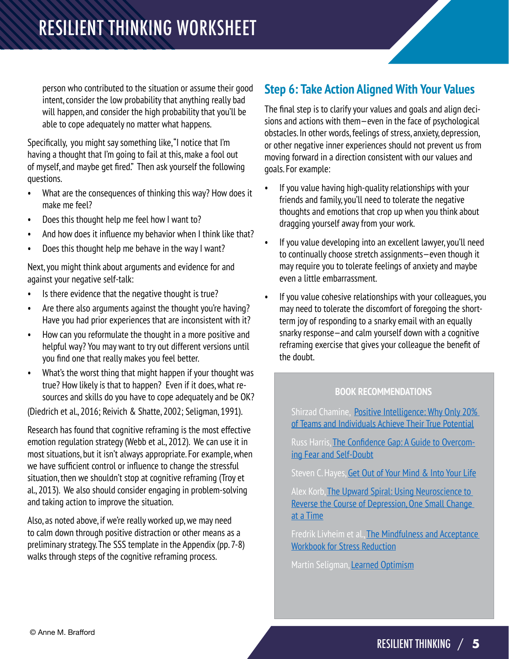person who contributed to the situation or assume their good intent, consider the low probability that anything really bad will happen, and consider the high probability that you'll be able to cope adequately no matter what happens.

Specifically, you might say something like, "I notice that I'm having a thought that I'm going to fail at this, make a fool out of myself, and maybe get fired." Then ask yourself the following questions.

- What are the consequences of thinking this way? How does it make me feel?
- Does this thought help me feel how I want to?
- And how does it influence my behavior when I think like that?
- Does this thought help me behave in the way I want?

Next, you might think about arguments and evidence for and against your negative self-talk:

- Is there evidence that the negative thought is true?
- Are there also arguments against the thought you're having? Have you had prior experiences that are inconsistent with it?
- How can you reformulate the thought in a more positive and helpful way? You may want to try out different versions until you find one that really makes you feel better.
- What's the worst thing that might happen if your thought was true? How likely is that to happen? Even if it does, what resources and skills do you have to cope adequately and be OK?

(Diedrich et al., 2016; Reivich & Shatte, 2002; Seligman, 1991).

Research has found that cognitive reframing is the most effective emotion regulation strategy (Webb et al., 2012). We can use it in most situations, but it isn't always appropriate. For example, when we have sufficient control or influence to change the stressful situation, then we shouldn't stop at cognitive reframing (Troy et al., 2013). We also should consider engaging in problem-solving and taking action to improve the situation.

Also, as noted above, if we're really worked up, we may need to calm down through positive distraction or other means as a preliminary strategy. The SSS template in the Appendix (pp. 7-8) walks through steps of the cognitive reframing process.

## **Step 6: Take Action Aligned With Your Values**

The final step is to clarify your values and goals and align decisions and actions with them—even in the face of psychological obstacles. In other words, feelings of stress, anxiety, depression, or other negative inner experiences should not prevent us from moving forward in a direction consistent with our values and goals. For example:

- If you value having high-quality relationships with your friends and family, you'll need to tolerate the negative thoughts and emotions that crop up when you think about dragging yourself away from your work.
- If you value developing into an excellent lawyer, you'll need to continually choose stretch assignments—even though it may require you to tolerate feelings of anxiety and maybe even a little embarrassment.
- If you value cohesive relationships with your colleagues, you may need to tolerate the discomfort of foregoing the shortterm joy of responding to a snarky email with an equally snarky response—and calm yourself down with a cognitive reframing exercise that gives your colleague the benefit of the doubt.

#### **BOOK RECOMMENDATIONS**

Shirzad Chamine, **Positive Intelligence: Why Only 20%** [of Teams and Individuals Achieve Their True Potential](https://www.amazon.com/Positive-Intelligence-Individuals-Achieve-Potential/dp/B007TXWZDQ/ref=sr_1_1?keywords=Positive+Intelligence&qid=1585780782&s=audible&sr=1-1)

Russ Harris, [The Confidence Gap: A Guide to Overcom](https://www.amazon.com/Confidence-Gap-Guide-Overcoming-Self-Doubt/dp/B00O80XTZQ/ref=sr_1_1?keywords=Russ+Harris+confidence+gap&qid=1585780809&s=audible&sr=1-1)[ing Fear and Self-Doubt](https://www.amazon.com/Confidence-Gap-Guide-Overcoming-Self-Doubt/dp/B00O80XTZQ/ref=sr_1_1?keywords=Russ+Harris+confidence+gap&qid=1585780809&s=audible&sr=1-1)

Steven C. Hayes, [Get Out of Your Mind & Into Your Life](https://www.amazon.com/Get-Your-Mind-Into-Life/dp/B006IKNRVU/ref=sr_1_1?keywords=Steven+Hayes+get+out+of+your&qid=1585780832&s=audible&sr=1-1)

Alex Korb, The Upward Spiral: Using Neuroscience to [Reverse the Course of Depression, One Small Change](https://www.amazon.com/Upward-Spiral-Neuroscience-Reverse-Depression/dp/1626251207/ref=sr_1_1?keywords=Korb%2C+The+Upward+Spiral%3A+Using+Neuroscience+to&qid=1585780885&s=audible&sr=1-1-catcorr)  [at a Time](https://www.amazon.com/Upward-Spiral-Neuroscience-Reverse-Depression/dp/1626251207/ref=sr_1_1?keywords=Korb%2C+The+Upward+Spiral%3A+Using+Neuroscience+to&qid=1585780885&s=audible&sr=1-1-catcorr)

Fredrik Livheim et al., The Mindfulness and Acceptance [Workbook for Stress Reduction](https://www.amazon.com/Mindfulness-Acceptance-Workbook-Stress-Reduction-ebook/dp/B075ST2YBW/ref=sr_1_3?dchild=1&keywords=The+Mindfulness+%26+Acceptance+Workbook+for+Stress+Reduction&qid=1585551047&sr=8-3)

Martin Seligman, [Learned Optimism](https://www.amazon.com/Learned-Optimism-Change-Your-Mind/dp/B00005JXWW/ref=sr_1_1?keywords=Learned+optimism&qid=1585780760&sr=8-1)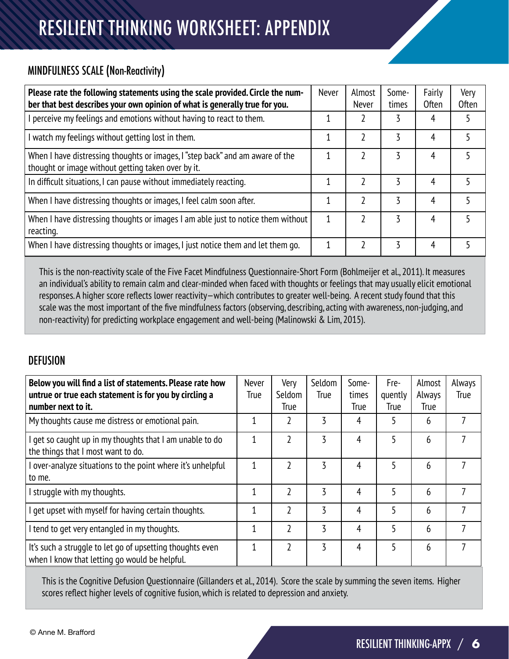# RESILIENT THINKING WORKSHEET: APPENDIX

#### MINDFULNESS SCALE (Non-Reactivity)

| Please rate the following statements using the scale provided. Circle the num-<br>ber that best describes your own opinion of what is generally true for you. | Never | Almost<br><b>Never</b> | Some-<br>times | Fairly<br>Often | Very<br><b>Often</b> |
|---------------------------------------------------------------------------------------------------------------------------------------------------------------|-------|------------------------|----------------|-----------------|----------------------|
| perceive my feelings and emotions without having to react to them.                                                                                            |       |                        |                | 4               |                      |
| I watch my feelings without getting lost in them.                                                                                                             |       |                        |                | 4               |                      |
| When I have distressing thoughts or images, I "step back" and am aware of the<br>thought or image without getting taken over by it.                           |       |                        |                | 4               |                      |
| In difficult situations, I can pause without immediately reacting.                                                                                            |       |                        | 3              | 4               |                      |
| When I have distressing thoughts or images, I feel calm soon after.                                                                                           |       |                        | 3              | 4               |                      |
| When I have distressing thoughts or images I am able just to notice them without<br>reacting.                                                                 |       |                        |                | 4               |                      |
| When I have distressing thoughts or images, I just notice them and let them go.                                                                               |       |                        | 3              | 4               |                      |

This is the non-reactivity scale of the Five Facet Mindfulness Questionnaire-Short Form (Bohlmeijer et al., 2011). It measures an individual's ability to remain calm and clear-minded when faced with thoughts or feelings that may usually elicit emotional responses. A higher score reflects lower reactivity—which contributes to greater well-being. A recent study found that this scale was the most important of the five mindfulness factors (observing, describing, acting with awareness, non-judging, and non-reactivity) for predicting workplace engagement and well-being (Malinowski & Lim, 2015).

#### **DEFUSION**

| Below you will find a list of statements. Please rate how<br>untrue or true each statement is for you by circling a<br>number next to it. | Never<br><b>True</b> | Very<br>Seldom<br><b>True</b> | Seldom<br>True | Some-<br>times<br>True | Fre-<br>quently<br><b>True</b> | Almost<br>Always<br><b>True</b> | Always<br>True |
|-------------------------------------------------------------------------------------------------------------------------------------------|----------------------|-------------------------------|----------------|------------------------|--------------------------------|---------------------------------|----------------|
| My thoughts cause me distress or emotional pain.                                                                                          |                      |                               | 3              | 4                      | 5                              | 6                               |                |
| I get so caught up in my thoughts that I am unable to do<br>the things that I most want to do.                                            |                      | 2                             | 3              | 4                      | 5                              | 6                               | 7              |
| I over-analyze situations to the point where it's unhelpful<br>to me.                                                                     |                      | 2                             | 3              | 4                      |                                | 6                               | 7              |
| I struggle with my thoughts.                                                                                                              |                      | 2                             | 3              | 4                      |                                | 6                               | 7              |
| I get upset with myself for having certain thoughts.                                                                                      | 1                    | 2                             | 3              | 4                      | 5                              | 6                               | 7              |
| I tend to get very entangled in my thoughts.                                                                                              |                      | 2                             | 3              | 4                      | 5                              | 6                               | 7              |
| It's such a struggle to let go of upsetting thoughts even<br>when I know that letting go would be helpful.                                |                      | 2                             | 3              | 4                      |                                | 6                               | 7              |

This is the Cognitive Defusion Questionnaire (Gillanders et al., 2014). Score the scale by summing the seven items. Higher scores reflect higher levels of cognitive fusion, which is related to depression and anxiety.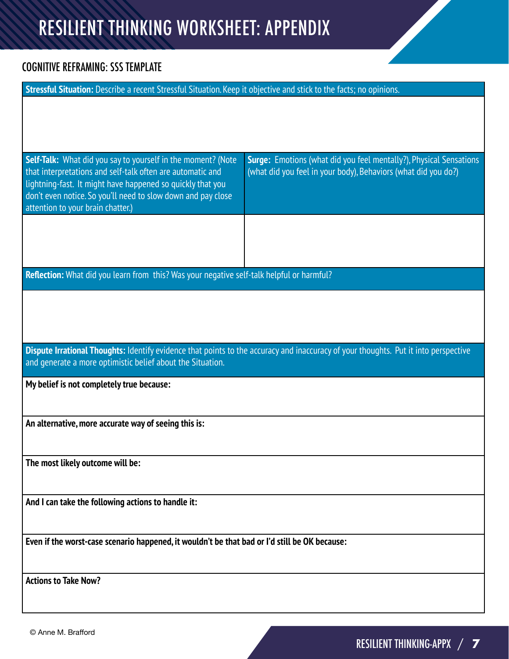# RESILIENT THINKING WORKSHEET: APPENDIX

#### COGNITIVE REFRAMING: SSS TEMPLATE

| Stressful Situation: Describe a recent Stressful Situation. Keep it objective and stick to the facts; no opinions.                                                                                                                                                                            |                                                                                                                                      |  |  |  |
|-----------------------------------------------------------------------------------------------------------------------------------------------------------------------------------------------------------------------------------------------------------------------------------------------|--------------------------------------------------------------------------------------------------------------------------------------|--|--|--|
|                                                                                                                                                                                                                                                                                               |                                                                                                                                      |  |  |  |
|                                                                                                                                                                                                                                                                                               |                                                                                                                                      |  |  |  |
|                                                                                                                                                                                                                                                                                               |                                                                                                                                      |  |  |  |
| Self-Talk: What did you say to yourself in the moment? (Note<br>that interpretations and self-talk often are automatic and<br>lightning-fast. It might have happened so quickly that you<br>don't even notice. So you'll need to slow down and pay close<br>attention to your brain chatter.) | Surge: Emotions (what did you feel mentally?), Physical Sensations<br>(what did you feel in your body), Behaviors (what did you do?) |  |  |  |
|                                                                                                                                                                                                                                                                                               |                                                                                                                                      |  |  |  |
|                                                                                                                                                                                                                                                                                               |                                                                                                                                      |  |  |  |
| Reflection: What did you learn from this? Was your negative self-talk helpful or harmful?                                                                                                                                                                                                     |                                                                                                                                      |  |  |  |
|                                                                                                                                                                                                                                                                                               |                                                                                                                                      |  |  |  |
|                                                                                                                                                                                                                                                                                               |                                                                                                                                      |  |  |  |
|                                                                                                                                                                                                                                                                                               |                                                                                                                                      |  |  |  |
| Dispute Irrational Thoughts: Identify evidence that points to the accuracy and inaccuracy of your thoughts. Put it into perspective<br>and generate a more optimistic belief about the Situation.                                                                                             |                                                                                                                                      |  |  |  |
| My belief is not completely true because:                                                                                                                                                                                                                                                     |                                                                                                                                      |  |  |  |
|                                                                                                                                                                                                                                                                                               |                                                                                                                                      |  |  |  |
| An alternative, more accurate way of seeing this is:                                                                                                                                                                                                                                          |                                                                                                                                      |  |  |  |
|                                                                                                                                                                                                                                                                                               |                                                                                                                                      |  |  |  |
| The most likely outcome will be:                                                                                                                                                                                                                                                              |                                                                                                                                      |  |  |  |
|                                                                                                                                                                                                                                                                                               |                                                                                                                                      |  |  |  |
| And I can take the following actions to handle it:                                                                                                                                                                                                                                            |                                                                                                                                      |  |  |  |
| Even if the worst-case scenario happened, it wouldn't be that bad or I'd still be OK because:                                                                                                                                                                                                 |                                                                                                                                      |  |  |  |
|                                                                                                                                                                                                                                                                                               |                                                                                                                                      |  |  |  |
| <b>Actions to Take Now?</b>                                                                                                                                                                                                                                                                   |                                                                                                                                      |  |  |  |
|                                                                                                                                                                                                                                                                                               |                                                                                                                                      |  |  |  |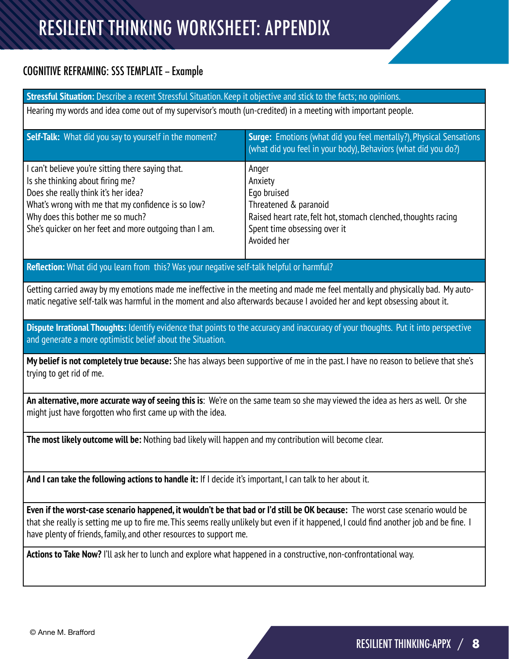# RESILIENT THINKING WORKSHEET: APPENDIX

#### COGNITIVE REFRAMING: SSS TEMPLATE -- Example

**Stressful Situation:** Describe a recent Stressful Situation. Keep it objective and stick to the facts; no opinions. Hearing my words and idea come out of my supervisor's mouth (un-credited) in a meeting with important people. **Self-Talk:** What did you say to yourself in the moment? **Surge:** Emotions (what did you feel mentally?), Physical Sensations (what did you feel in your body), Behaviors (what did you do?) I can't believe you're sitting there saying that. Is she thinking about firing me? Does she really think it's her idea? What's wrong with me that my confidence is so low? Why does this bother me so much? She's quicker on her feet and more outgoing than I am. Anger Anxiety Ego bruised Threatened & paranoid Raised heart rate, felt hot, stomach clenched, thoughts racing Spent time obsessing over it Avoided her **Reflection:** What did you learn from this? Was your negative self-talk helpful or harmful? Getting carried away by my emotions made me ineffective in the meeting and made me feel mentally and physically bad. My automatic negative self-talk was harmful in the moment and also afterwards because I avoided her and kept obsessing about it. **Dispute Irrational Thoughts:** Identify evidence that points to the accuracy and inaccuracy of your thoughts. Put it into perspective and generate a more optimistic belief about the Situation. **My belief is not completely true because:** She has always been supportive of me in the past. I have no reason to believe that she's trying to get rid of me. **An alternative, more accurate way of seeing this is**: We're on the same team so she may viewed the idea as hers as well. Or she might just have forgotten who first came up with the idea. **The most likely outcome will be:** Nothing bad likely will happen and my contribution will become clear. **And I can take the following actions to handle it:** If I decide it's important, I can talk to her about it. **Even if the worst-case scenario happened, it wouldn't be that bad or I'd still be OK because:** The worst case scenario would be that she really is setting me up to fire me. This seems really unlikely but even if it happened, I could find another job and be fine. I have plenty of friends, family, and other resources to support me. **Actions to Take Now?** I'll ask her to lunch and explore what happened in a constructive, non-confrontational way.